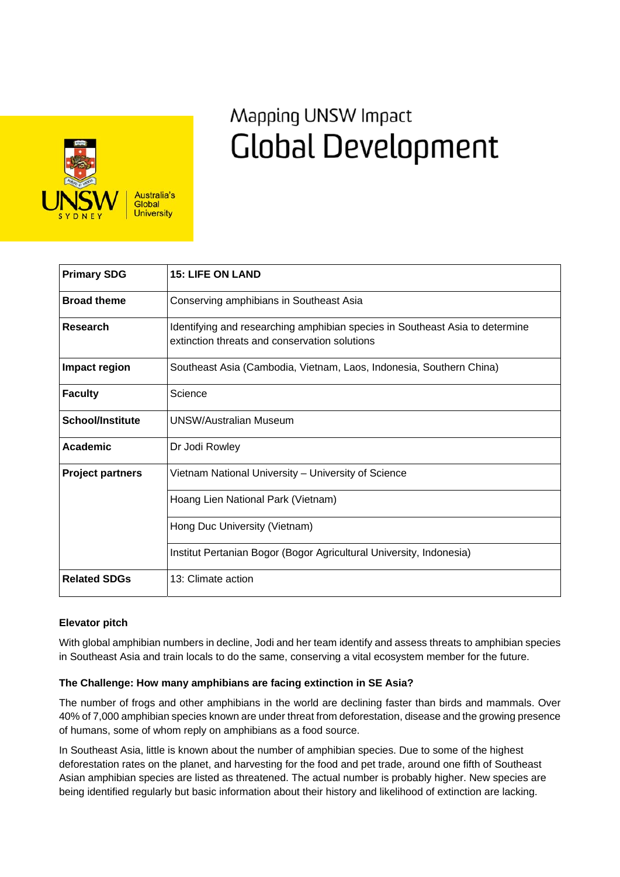

# Mapping UNSW Impact **Global Development**

| <b>Primary SDG</b>      | <b>15: LIFE ON LAND</b>                                                                                                       |
|-------------------------|-------------------------------------------------------------------------------------------------------------------------------|
| <b>Broad theme</b>      | Conserving amphibians in Southeast Asia                                                                                       |
| Research                | Identifying and researching amphibian species in Southeast Asia to determine<br>extinction threats and conservation solutions |
| Impact region           | Southeast Asia (Cambodia, Vietnam, Laos, Indonesia, Southern China)                                                           |
| <b>Faculty</b>          | Science                                                                                                                       |
| <b>School/Institute</b> | <b>UNSW/Australian Museum</b>                                                                                                 |
| Academic                | Dr Jodi Rowley                                                                                                                |
| <b>Project partners</b> | Vietnam National University – University of Science                                                                           |
|                         | Hoang Lien National Park (Vietnam)                                                                                            |
|                         | Hong Duc University (Vietnam)                                                                                                 |
|                         | Institut Pertanian Bogor (Bogor Agricultural University, Indonesia)                                                           |
| <b>Related SDGs</b>     | 13: Climate action                                                                                                            |

## **Elevator pitch**

With global amphibian numbers in decline, Jodi and her team identify and assess threats to amphibian species in Southeast Asia and train locals to do the same, conserving a vital ecosystem member for the future.

## **The Challenge: How many amphibians are facing extinction in SE Asia?**

The number of frogs and other amphibians in the world are declining faster than birds and mammals. Over 40% of 7,000 amphibian species known are under threat from deforestation, disease and the growing presence of humans, some of whom reply on amphibians as a food source.

In Southeast Asia, little is known about the number of amphibian species. Due to some of the highest deforestation rates on the planet, and harvesting for the food and pet trade, around one fifth of Southeast Asian amphibian species are listed as threatened. The actual number is probably higher. New species are being identified regularly but basic information about their history and likelihood of extinction are lacking.